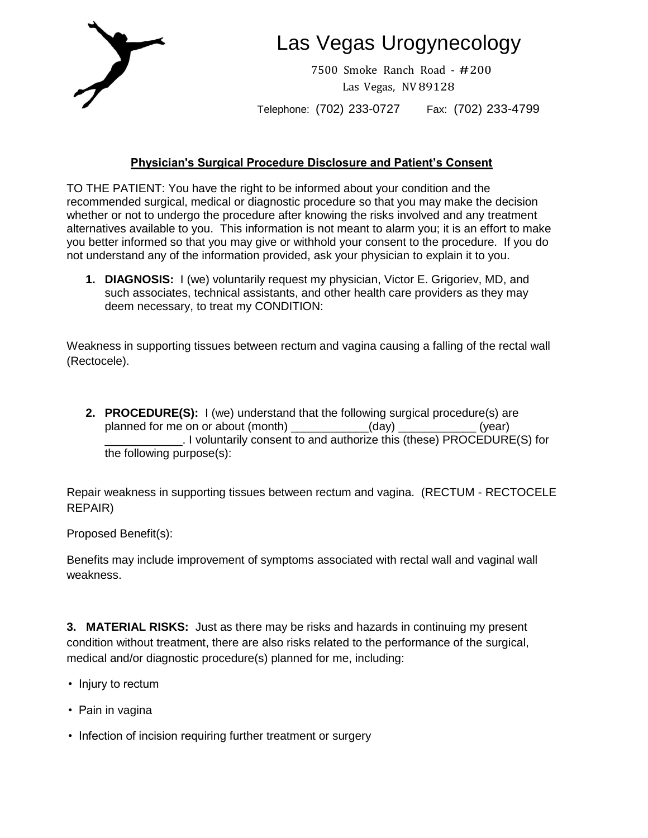

# Las Vegas Urogynecology

7500 Smoke Ranch Road - #200 Las Vegas, NV89128

Telephone: (702) 233-0727 Fax: (702) 233-4799

## **Physician's Surgical Procedure Disclosure and Patient's Consent**

TO THE PATIENT: You have the right to be informed about your condition and the recommended surgical, medical or diagnostic procedure so that you may make the decision whether or not to undergo the procedure after knowing the risks involved and any treatment alternatives available to you. This information is not meant to alarm you; it is an effort to make you better informed so that you may give or withhold your consent to the procedure. If you do not understand any of the information provided, ask your physician to explain it to you.

**1. DIAGNOSIS:** I (we) voluntarily request my physician, Victor E. Grigoriev, MD, and such associates, technical assistants, and other health care providers as they may deem necessary, to treat my CONDITION:

Weakness in supporting tissues between rectum and vagina causing a falling of the rectal wall (Rectocele).

**2. PROCEDURE(S):** I (we) understand that the following surgical procedure(s) are planned for me on or about (month)  $(day)$ planned for me on or about (month)  $(day)$  and  $(year)$ \_\_\_\_\_\_\_\_\_\_\_\_. I voluntarily consent to and authorize this (these) PROCEDURE(S) for the following purpose(s):

Repair weakness in supporting tissues between rectum and vagina. (RECTUM - RECTOCELE REPAIR)

Proposed Benefit(s):

Benefits may include improvement of symptoms associated with rectal wall and vaginal wall weakness.

**3. MATERIAL RISKS:** Just as there may be risks and hazards in continuing my present condition without treatment, there are also risks related to the performance of the surgical, medical and/or diagnostic procedure(s) planned for me, including:

- Injury to rectum
- Pain in vagina
- Infection of incision requiring further treatment or surgery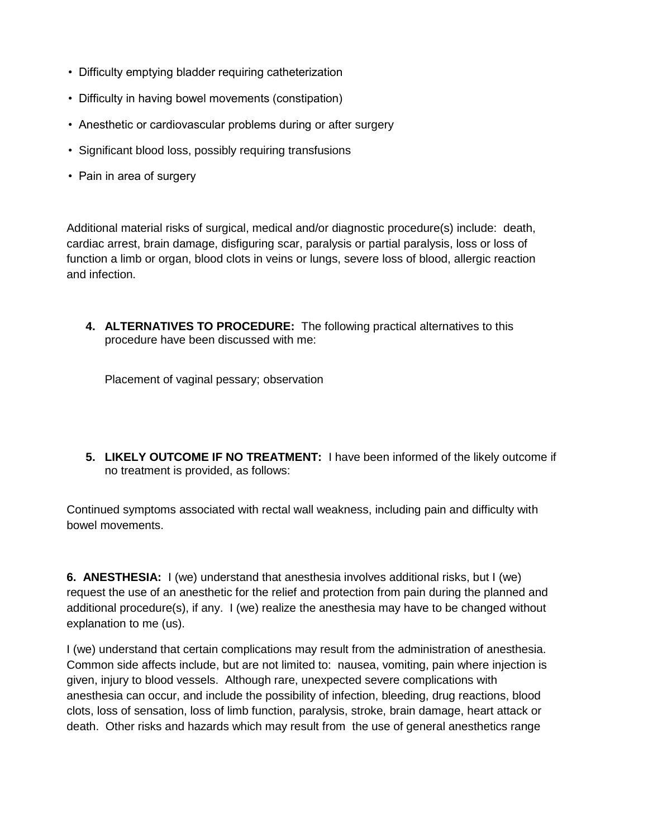- Difficulty emptying bladder requiring catheterization
- Difficulty in having bowel movements (constipation)
- Anesthetic or cardiovascular problems during or after surgery
- Significant blood loss, possibly requiring transfusions
- Pain in area of surgery

Additional material risks of surgical, medical and/or diagnostic procedure(s) include: death, cardiac arrest, brain damage, disfiguring scar, paralysis or partial paralysis, loss or loss of function a limb or organ, blood clots in veins or lungs, severe loss of blood, allergic reaction and infection.

**4. ALTERNATIVES TO PROCEDURE:** The following practical alternatives to this procedure have been discussed with me:

Placement of vaginal pessary; observation

**5. LIKELY OUTCOME IF NO TREATMENT:** I have been informed of the likely outcome if no treatment is provided, as follows:

Continued symptoms associated with rectal wall weakness, including pain and difficulty with bowel movements.

**6. ANESTHESIA:** I (we) understand that anesthesia involves additional risks, but I (we) request the use of an anesthetic for the relief and protection from pain during the planned and additional procedure(s), if any. I (we) realize the anesthesia may have to be changed without explanation to me (us).

I (we) understand that certain complications may result from the administration of anesthesia. Common side affects include, but are not limited to: nausea, vomiting, pain where injection is given, injury to blood vessels. Although rare, unexpected severe complications with anesthesia can occur, and include the possibility of infection, bleeding, drug reactions, blood clots, loss of sensation, loss of limb function, paralysis, stroke, brain damage, heart attack or death. Other risks and hazards which may result from the use of general anesthetics range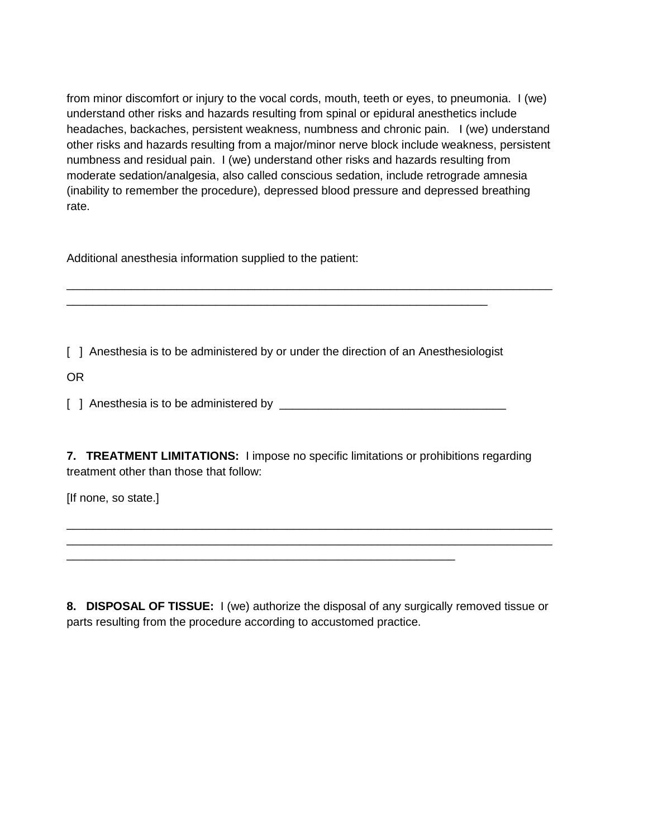from minor discomfort or injury to the vocal cords, mouth, teeth or eyes, to pneumonia. I (we) understand other risks and hazards resulting from spinal or epidural anesthetics include headaches, backaches, persistent weakness, numbness and chronic pain. I (we) understand other risks and hazards resulting from a major/minor nerve block include weakness, persistent numbness and residual pain. I (we) understand other risks and hazards resulting from moderate sedation/analgesia, also called conscious sedation, include retrograde amnesia (inability to remember the procedure), depressed blood pressure and depressed breathing rate.

\_\_\_\_\_\_\_\_\_\_\_\_\_\_\_\_\_\_\_\_\_\_\_\_\_\_\_\_\_\_\_\_\_\_\_\_\_\_\_\_\_\_\_\_\_\_\_\_\_\_\_\_\_\_\_\_\_\_\_\_\_\_\_\_\_\_\_\_\_\_\_\_\_\_\_

Additional anesthesia information supplied to the patient:

[ ] Anesthesia is to be administered by or under the direction of an Anesthesiologist

\_\_\_\_\_\_\_\_\_\_\_\_\_\_\_\_\_\_\_\_\_\_\_\_\_\_\_\_\_\_\_\_\_\_\_\_\_\_\_\_\_\_\_\_\_\_\_\_\_\_\_\_\_\_\_\_\_\_\_\_\_\_\_\_\_

OR

[ ] Anesthesia is to be administered by \_\_\_\_\_\_\_\_\_\_\_\_\_\_\_\_\_\_\_\_\_\_\_\_\_\_\_\_\_\_\_\_\_\_\_

**7. TREATMENT LIMITATIONS:** I impose no specific limitations or prohibitions regarding treatment other than those that follow:

[If none, so state.]

**8. DISPOSAL OF TISSUE:** I (we) authorize the disposal of any surgically removed tissue or parts resulting from the procedure according to accustomed practice.

\_\_\_\_\_\_\_\_\_\_\_\_\_\_\_\_\_\_\_\_\_\_\_\_\_\_\_\_\_\_\_\_\_\_\_\_\_\_\_\_\_\_\_\_\_\_\_\_\_\_\_\_\_\_\_\_\_\_\_\_\_\_\_\_\_\_\_\_\_\_\_\_\_\_\_ \_\_\_\_\_\_\_\_\_\_\_\_\_\_\_\_\_\_\_\_\_\_\_\_\_\_\_\_\_\_\_\_\_\_\_\_\_\_\_\_\_\_\_\_\_\_\_\_\_\_\_\_\_\_\_\_\_\_\_\_\_\_\_\_\_\_\_\_\_\_\_\_\_\_\_

\_\_\_\_\_\_\_\_\_\_\_\_\_\_\_\_\_\_\_\_\_\_\_\_\_\_\_\_\_\_\_\_\_\_\_\_\_\_\_\_\_\_\_\_\_\_\_\_\_\_\_\_\_\_\_\_\_\_\_\_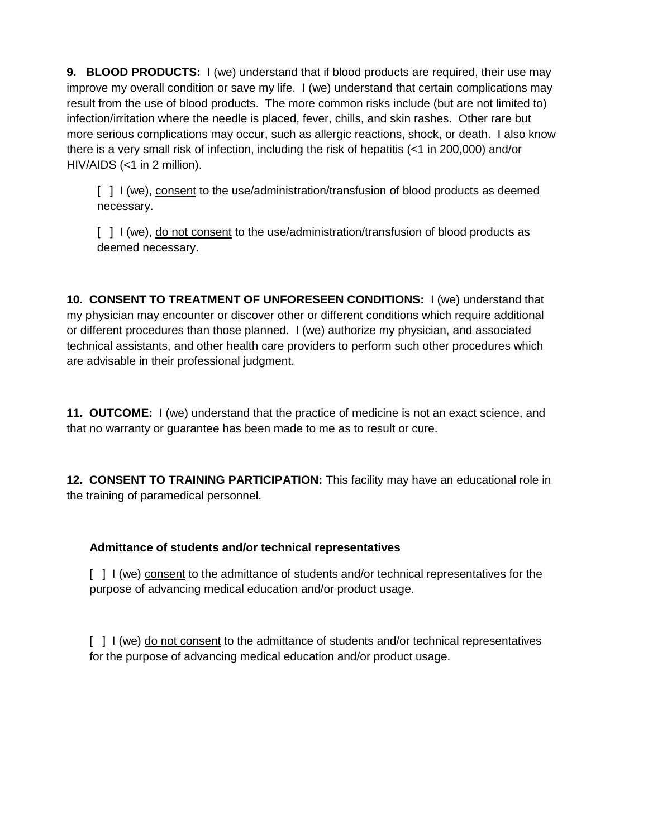**9. BLOOD PRODUCTS:** I (we) understand that if blood products are required, their use may improve my overall condition or save my life. I (we) understand that certain complications may result from the use of blood products. The more common risks include (but are not limited to) infection/irritation where the needle is placed, fever, chills, and skin rashes. Other rare but more serious complications may occur, such as allergic reactions, shock, or death. I also know there is a very small risk of infection, including the risk of hepatitis (<1 in 200,000) and/or HIV/AIDS (<1 in 2 million).

[ ] I (we), consent to the use/administration/transfusion of blood products as deemed necessary.

[ ] I (we), do not consent to the use/administration/transfusion of blood products as deemed necessary.

**10. CONSENT TO TREATMENT OF UNFORESEEN CONDITIONS:** I (we) understand that my physician may encounter or discover other or different conditions which require additional or different procedures than those planned. I (we) authorize my physician, and associated technical assistants, and other health care providers to perform such other procedures which are advisable in their professional judgment.

**11. OUTCOME:** I (we) understand that the practice of medicine is not an exact science, and that no warranty or guarantee has been made to me as to result or cure.

**12. CONSENT TO TRAINING PARTICIPATION:** This facility may have an educational role in the training of paramedical personnel.

## **Admittance of students and/or technical representatives**

[ ] I (we) consent to the admittance of students and/or technical representatives for the purpose of advancing medical education and/or product usage.

[ ] I (we) do not consent to the admittance of students and/or technical representatives for the purpose of advancing medical education and/or product usage.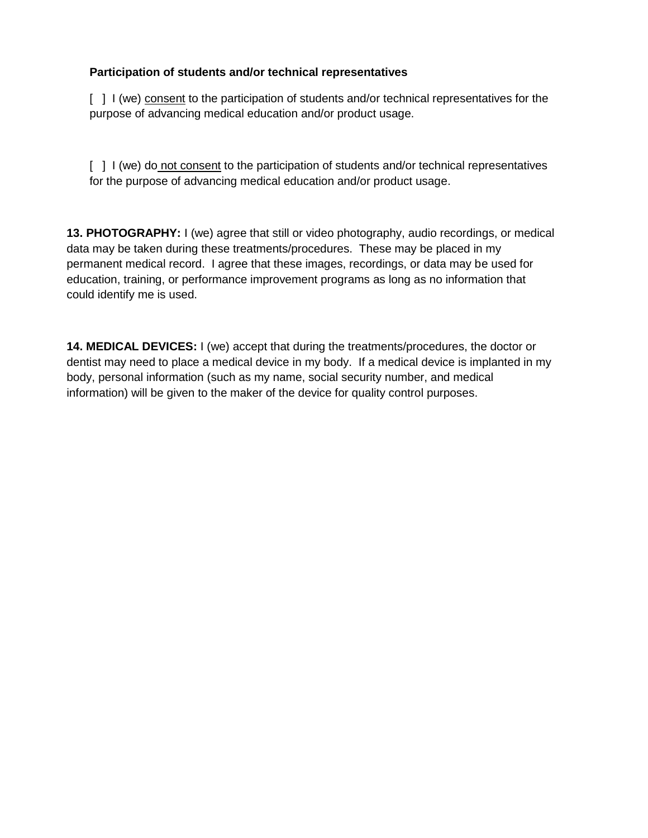### **Participation of students and/or technical representatives**

[ ] I (we) consent to the participation of students and/or technical representatives for the purpose of advancing medical education and/or product usage.

[ ] I (we) do not consent to the participation of students and/or technical representatives for the purpose of advancing medical education and/or product usage.

**13. PHOTOGRAPHY:** I (we) agree that still or video photography, audio recordings, or medical data may be taken during these treatments/procedures. These may be placed in my permanent medical record. I agree that these images, recordings, or data may be used for education, training, or performance improvement programs as long as no information that could identify me is used.

**14. MEDICAL DEVICES:** I (we) accept that during the treatments/procedures, the doctor or dentist may need to place a medical device in my body. If a medical device is implanted in my body, personal information (such as my name, social security number, and medical information) will be given to the maker of the device for quality control purposes.